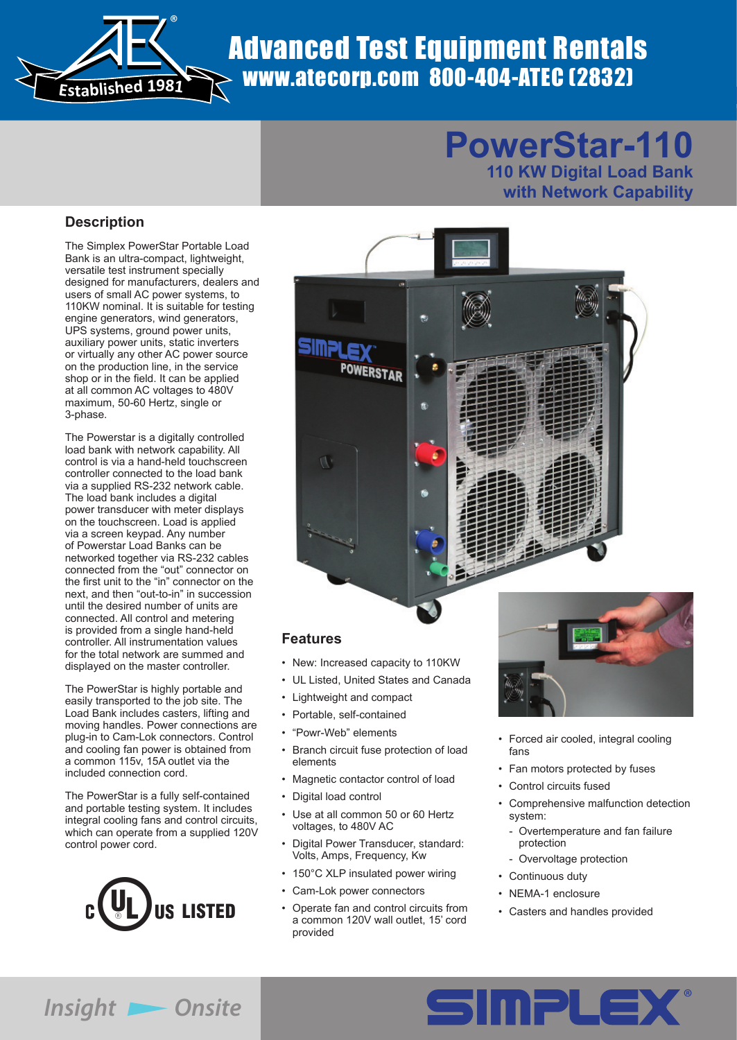

# Advanced Test Equipment Rentals www.atecorp.com 800-404-ATEC (2832)

# **PowerStar-110**

**110 KW Digital Load Bank with Network Capability**

#### **Description**

The Simplex PowerStar Portable Load Bank is an ultra-compact, lightweight, versatile test instrument specially designed for manufacturers, dealers and users of small AC power systems, to 110KW nominal. It is suitable for testing engine generators, wind generators, UPS systems, ground power units, auxiliary power units, static inverters or virtually any other AC power source on the production line, in the service shop or in the field. It can be applied at all common AC voltages to 480V maximum, 50-60 Hertz, single or 3-phase.

The Powerstar is a digitally controlled load bank with network capability. All control is via a hand-held touchscreen controller connected to the load bank via a supplied RS-232 network cable. The load bank includes a digital power transducer with meter displays on the touchscreen. Load is applied via a screen keypad. Any number of Powerstar Load Banks can be networked together via RS-232 cables connected from the "out" connector on the first unit to the "in" connector on the next, and then "out-to-in" in succession until the desired number of units are connected. All control and metering is provided from a single hand-held controller. All instrumentation values for the total network are summed and displayed on the master controller.

The PowerStar is highly portable and easily transported to the job site. The Load Bank includes casters, lifting and moving handles. Power connections are plug-in to Cam-Lok connectors. Control and cooling fan power is obtained from a common 115v, 15A outlet via the included connection cord.

The PowerStar is a fully self-contained and portable testing system. It includes integral cooling fans and control circuits, which can operate from a supplied 120V control power cord.





#### **Features**

- New: Increased capacity to 110KW
- UL Listed, United States and Canada
- Lightweight and compact
- Portable, self-contained
- "Powr-Web" elements
- Branch circuit fuse protection of load elements
- Magnetic contactor control of load
- Digital load control
- Use at all common 50 or 60 Hertz voltages, to 480V AC
- Digital Power Transducer, standard: Volts, Amps, Frequency, Kw
- 150°C XLP insulated power wiring
- Cam-Lok power connectors
- Operate fan and control circuits from a common 120V wall outlet, 15' cord provided



- Forced air cooled, integral cooling fans
- Fan motors protected by fuses
- Control circuits fused
- Comprehensive malfunction detection system:
	- Overtemperature and fan failure protection
	- Overvoltage protection
- Continuous duty
- NEMA-1 enclosure
- Casters and handles provided